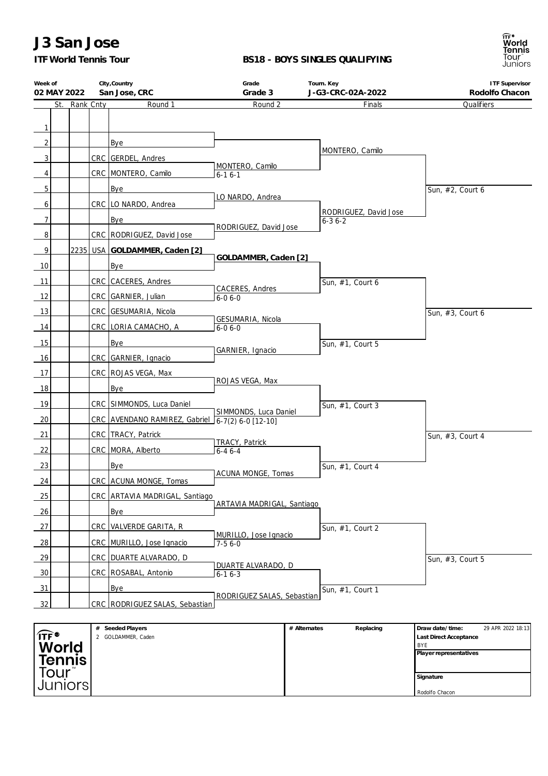# **J3 San Jose**

*ITF World Tennis Tour*

### **BS18 - BOYS SINGLES QUALIFYING**



| Week of<br>02 MAY 2022         |     |           |   | City, Country<br>San Jose, CRC                   | Grade<br>Grade 3                |              | Tourn. Key<br>J-G3-CRC-02A-2022       | <b>ITF Supervisor</b><br>Rodolfo Chacon |
|--------------------------------|-----|-----------|---|--------------------------------------------------|---------------------------------|--------------|---------------------------------------|-----------------------------------------|
|                                | St. | Rank Cnty |   | Round 1                                          | Round 2                         |              | Finals                                | Qualifiers                              |
|                                |     |           |   |                                                  |                                 |              |                                       |                                         |
| 1                              |     |           |   |                                                  |                                 |              |                                       |                                         |
| 2                              |     |           |   | Bye                                              |                                 |              | MONTERO, Camilo                       |                                         |
| 3                              |     |           |   | CRC GERDEL, Andres                               |                                 |              |                                       |                                         |
| 4                              |     |           |   | CRC MONTERO, Camilo                              | MONTERO, Camilo<br>$6 - 16 - 1$ |              |                                       |                                         |
| 5                              |     |           |   | Bye                                              |                                 |              |                                       | Sun, #2, Court 6                        |
| 6                              |     |           |   | CRC LO NARDO, Andrea                             | LO NARDO, Andrea                |              |                                       |                                         |
| $\overline{7}$                 |     |           |   | Bye                                              |                                 |              | RODRIGUEZ, David Jose<br>$6 - 36 - 2$ |                                         |
| 8                              |     |           |   | CRC   RODRIGUEZ, David Jose                      | RODRIGUEZ, David Jose           |              |                                       |                                         |
| 9                              |     |           |   | 2235 USA GOLDAMMER, Caden [2]                    |                                 |              |                                       |                                         |
| 10                             |     |           |   | Bye                                              | GOLDAMMER, Caden [2]            |              |                                       |                                         |
| 11                             |     |           |   | CRC CACERES, Andres                              |                                 |              |                                       |                                         |
| 12                             |     |           |   |                                                  | CACERES, Andres                 |              | Sun, #1, Court 6                      |                                         |
|                                |     |           |   | CRC GARNIER, Julian                              | $6 - 06 - 0$                    |              |                                       |                                         |
| 13                             |     |           |   | CRC GESUMARIA, Nicola                            | GESUMARIA, Nicola               |              |                                       | Sun, #3, Court 6                        |
| 14                             |     |           |   | CRC LORIA CAMACHO, A                             | $6 - 06 - 0$                    |              |                                       |                                         |
| 15                             |     |           |   | Bye                                              | GARNIER, Ignacio                |              | Sun, #1, Court 5                      |                                         |
| 16                             |     |           |   | CRC GARNIER, Ignacio                             |                                 |              |                                       |                                         |
| 17                             |     |           |   | CRC   ROJAS VEGA, Max                            | ROJAS VEGA, Max                 |              |                                       |                                         |
| 18                             |     |           |   | Bye                                              |                                 |              |                                       |                                         |
| 19                             |     |           |   | CRC SIMMONDS, Luca Daniel                        |                                 |              | Sun, #1, Court 3                      |                                         |
| 20                             |     |           |   | CRC AVENDANO RAMIREZ, Gabriel 6-7(2) 6-0 [12-10] | SIMMONDS, Luca Daniel           |              |                                       |                                         |
| 21                             |     |           |   | CRC   TRACY, Patrick                             |                                 |              |                                       | Sun, #3, Court 4                        |
| 22                             |     |           |   | CRC MORA, Alberto                                | TRACY, Patrick<br>$6 - 46 - 4$  |              |                                       |                                         |
| 23                             |     |           |   | Bye                                              |                                 |              | Sun, #1, Court 4                      |                                         |
| 24                             |     |           |   | CRC ACUNA MONGE, Tomas                           | ACUNA MONGE, Tomas              |              |                                       |                                         |
| 25                             |     |           |   | CRC ARTAVIA MADRIGAL, Santiago                   |                                 |              |                                       |                                         |
| 26                             |     |           |   | Bye                                              | ARTAVIA MADRIGAL, Santiago      |              |                                       |                                         |
| 27                             |     |           |   | CRC VALVERDE GARITA, R                           |                                 |              | Sun, #1, Court 2                      |                                         |
| 28                             |     |           |   | CRC MURILLO, Jose Ignacio                        | MURILLO, Jose Ignacio           |              |                                       |                                         |
| 29                             |     |           |   |                                                  | $7 - 56 - 0$                    |              |                                       |                                         |
|                                |     |           |   | CRC   DUARTE ALVARADO, D                         | DUARTE ALVARADO, D              |              |                                       | Sun, #3, Court 5                        |
| 30                             |     |           |   | CRC   ROSABAL, Antonio                           | $6-16-3$                        |              |                                       |                                         |
| 31                             |     |           |   | Bye                                              | RODRIGUEZ SALAS, Sebastian      |              | Sun, #1, Court 1                      |                                         |
| 32                             |     |           |   | CRC RODRIGUEZ SALAS, Sebastian                   |                                 |              |                                       |                                         |
|                                |     |           | # | Seeded Players                                   |                                 | # Alternates | Replacing                             | Draw date/time:<br>29 APR 2022 18:13    |
| $\widehat{TF}$<br><i>Morld</i> |     |           |   | 2 GOLDAMMER, Caden                               |                                 |              |                                       | Last Direct Acceptance<br>BYE           |

|               | #<br>Seeded Players | # Alternates | Replacing | I Draw date/time:             | 29 APR 2022 18:13 L |
|---------------|---------------------|--------------|-----------|-------------------------------|---------------------|
| TF®           | GOLDAMMER, Caden    |              |           | Last Direct Acceptance        |                     |
| World         |                     |              |           | <b>BYE</b>                    |                     |
|               |                     |              |           | <b>Player representatives</b> |                     |
| <b>Tennis</b> |                     |              |           |                               |                     |
| Tour          |                     |              |           |                               |                     |
|               |                     |              |           | Signature                     |                     |
| Juniors       |                     |              |           |                               |                     |
|               |                     |              |           | Rodolfo Chacon                |                     |